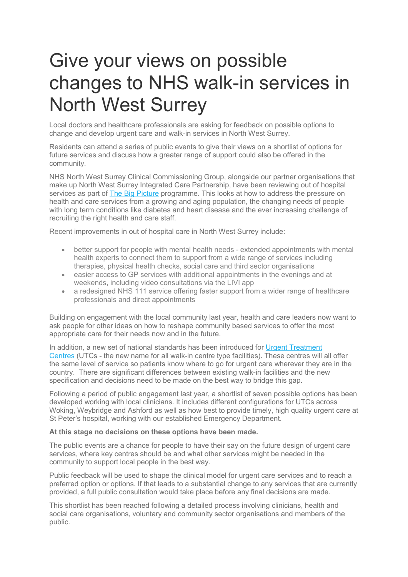## Give your views on possible changes to NHS walk-in services in North West Surrey

Local doctors and healthcare professionals are asking for feedback on possible options to change and develop urgent care and walk-in services in North West Surrey.

Residents can attend a series of public events to give their views on a shortlist of options for future services and discuss how a greater range of support could also be offered in the community.

NHS North West Surrey Clinical Commissioning Group, alongside our partner organisations that make up North West Surrey Integrated Care Partnership, have been reviewing out of hospital services as part of [The Big Picture](https://www.nwsurreyccg.nhs.uk/get-involved/consultation-and-engagement/the-big-picture) programme. This looks at how to address the pressure on health and care services from a growing and aging population, the changing needs of people with long term conditions like diabetes and heart disease and the ever increasing challenge of recruiting the right health and care staff.

Recent improvements in out of hospital care in North West Surrey include:

- better support for people with mental health needs extended appointments with mental health experts to connect them to support from a wide range of services including therapies, physical health checks, social care and third sector organisations
- easier access to GP services with additional appointments in the evenings and at weekends, including video consultations via the LIVI app
- a redesigned NHS 111 service offering faster support from a wider range of healthcare professionals and direct appointments

Building on engagement with the local community last year, health and care leaders now want to ask people for other ideas on how to reshape community based services to offer the most appropriate care for their needs now and in the future.

In addition, a new set of national standards has been introduced for [Urgent Treatment](https://www.england.nhs.uk/urgent-emergency-care/urgent-treatment-centres/)  [Centres](https://www.england.nhs.uk/urgent-emergency-care/urgent-treatment-centres/) (UTCs - the new name for all walk-in centre type facilities). These centres will all offer the same level of service so patients know where to go for urgent care wherever they are in the country. There are significant differences between existing walk-in facilities and the new specification and decisions need to be made on the best way to bridge this gap.

Following a period of public engagement last year, a shortlist of seven possible options has been developed working with local clinicians. It includes different configurations for UTCs across Woking, Weybridge and Ashford as well as how best to provide timely, high quality urgent care at St Peter's hospital, working with our established Emergency Department.

## **At this stage no decisions on these options have been made.**

The public events are a chance for people to have their say on the future design of urgent care services, where key centres should be and what other services might be needed in the community to support local people in the best way.

Public feedback will be used to shape the clinical model for urgent care services and to reach a preferred option or options. If that leads to a substantial change to any services that are currently provided, a full public consultation would take place before any final decisions are made.

This shortlist has been reached following a detailed process involving clinicians, health and social care organisations, voluntary and community sector organisations and members of the public.